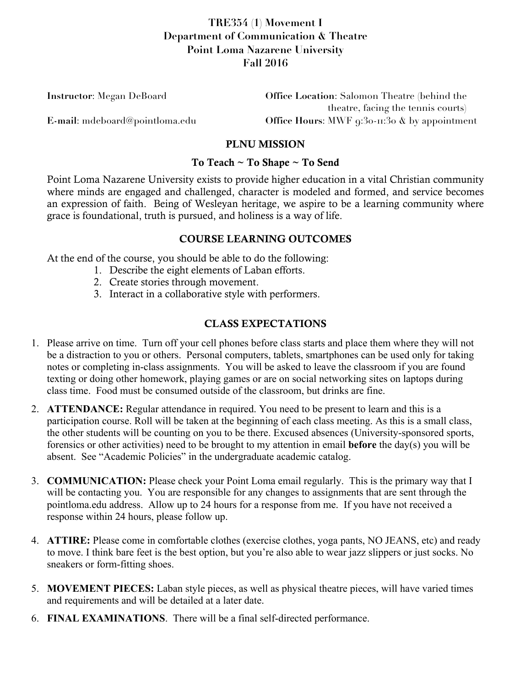# **TRE354 (1) Movement I Department of Communication & Theatre Point Loma Nazarene University Fall 2016**

| <b>Instructor:</b> Megan DeBoard | <b>Office Location:</b> Salomon Theatre (behind the    |  |
|----------------------------------|--------------------------------------------------------|--|
|                                  | theatre, facing the tennis courts)                     |  |
| E-mail: mdeboard@pointloma.edu   | Office Hours: MWF $9:30 \cdot \pi:30$ & by appointment |  |

### PLNU MISSION

#### To Teach ~ To Shape ~ To Send

Point Loma Nazarene University exists to provide higher education in a vital Christian community where minds are engaged and challenged, character is modeled and formed, and service becomes an expression of faith. Being of Wesleyan heritage, we aspire to be a learning community where grace is foundational, truth is pursued, and holiness is a way of life.

### COURSE LEARNING OUTCOMES

At the end of the course, you should be able to do the following:

- 1. Describe the eight elements of Laban efforts.
- 2. Create stories through movement.
- 3. Interact in a collaborative style with performers.

### CLASS EXPECTATIONS

- 1. Please arrive on time. Turn off your cell phones before class starts and place them where they will not be a distraction to you or others. Personal computers, tablets, smartphones can be used only for taking notes or completing in-class assignments. You will be asked to leave the classroom if you are found texting or doing other homework, playing games or are on social networking sites on laptops during class time. Food must be consumed outside of the classroom, but drinks are fine.
- 2. **ATTENDANCE:** Regular attendance in required. You need to be present to learn and this is a participation course. Roll will be taken at the beginning of each class meeting. As this is a small class, the other students will be counting on you to be there. Excused absences (University-sponsored sports, forensics or other activities) need to be brought to my attention in email **before** the day(s) you will be absent. See "Academic Policies" in the undergraduate academic catalog.
- 3. **COMMUNICATION:** Please check your Point Loma email regularly. This is the primary way that I will be contacting you. You are responsible for any changes to assignments that are sent through the pointloma.edu address. Allow up to 24 hours for a response from me. If you have not received a response within 24 hours, please follow up.
- 4. **ATTIRE:** Please come in comfortable clothes (exercise clothes, yoga pants, NO JEANS, etc) and ready to move. I think bare feet is the best option, but you're also able to wear jazz slippers or just socks. No sneakers or form-fitting shoes.
- 5. **MOVEMENT PIECES:** Laban style pieces, as well as physical theatre pieces, will have varied times and requirements and will be detailed at a later date.
- 6. **FINAL EXAMINATIONS**. There will be a final self-directed performance.